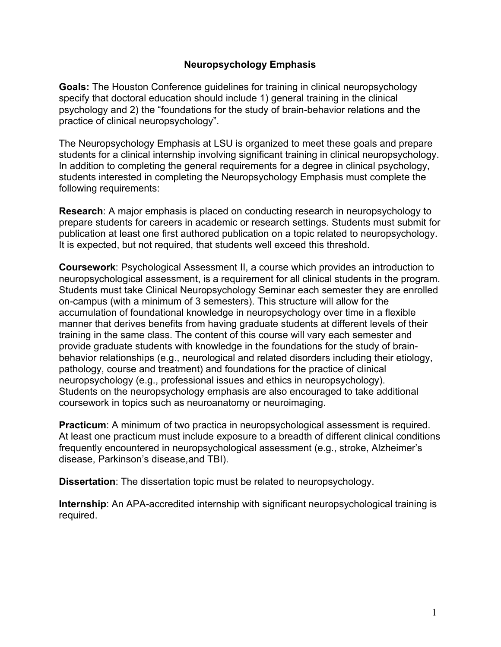## **Neuropsychology Emphasis**

**Goals:** The Houston Conference guidelines for training in clinical neuropsychology specify that doctoral education should include 1) general training in the clinical psychology and 2) the "foundations for the study of brain-behavior relations and the practice of clinical neuropsychology".

The Neuropsychology Emphasis at LSU is organized to meet these goals and prepare students for a clinical internship involving significant training in clinical neuropsychology. In addition to completing the general requirements for a degree in clinical psychology, students interested in completing the Neuropsychology Emphasis must complete the following requirements:

**Research**: A major emphasis is placed on conducting research in neuropsychology to prepare students for careers in academic or research settings. Students must submit for publication at least one first authored publication on a topic related to neuropsychology. It is expected, but not required, that students well exceed this threshold.

**Coursework**: Psychological Assessment II, a course which provides an introduction to neuropsychological assessment, is a requirement for all clinical students in the program. Students must take Clinical Neuropsychology Seminar each semester they are enrolled on-campus (with a minimum of 3 semesters). This structure will allow for the accumulation of foundational knowledge in neuropsychology over time in a flexible manner that derives benefits from having graduate students at different levels of their training in the same class. The content of this course will vary each semester and provide graduate students with knowledge in the foundations for the study of brainbehavior relationships (e.g., neurological and related disorders including their etiology, pathology, course and treatment) and foundations for the practice of clinical neuropsychology (e.g., professional issues and ethics in neuropsychology). Students on the neuropsychology emphasis are also encouraged to take additional coursework in topics such as neuroanatomy or neuroimaging.

**Practicum**: A minimum of two practica in neuropsychological assessment is required. At least one practicum must include exposure to a breadth of different clinical conditions frequently encountered in neuropsychological assessment (e.g., stroke, Alzheimer's disease, Parkinson's disease, and TBI).

**Dissertation**: The dissertation topic must be related to neuropsychology.

**Internship**: An APA-accredited internship with significant neuropsychological training is required.